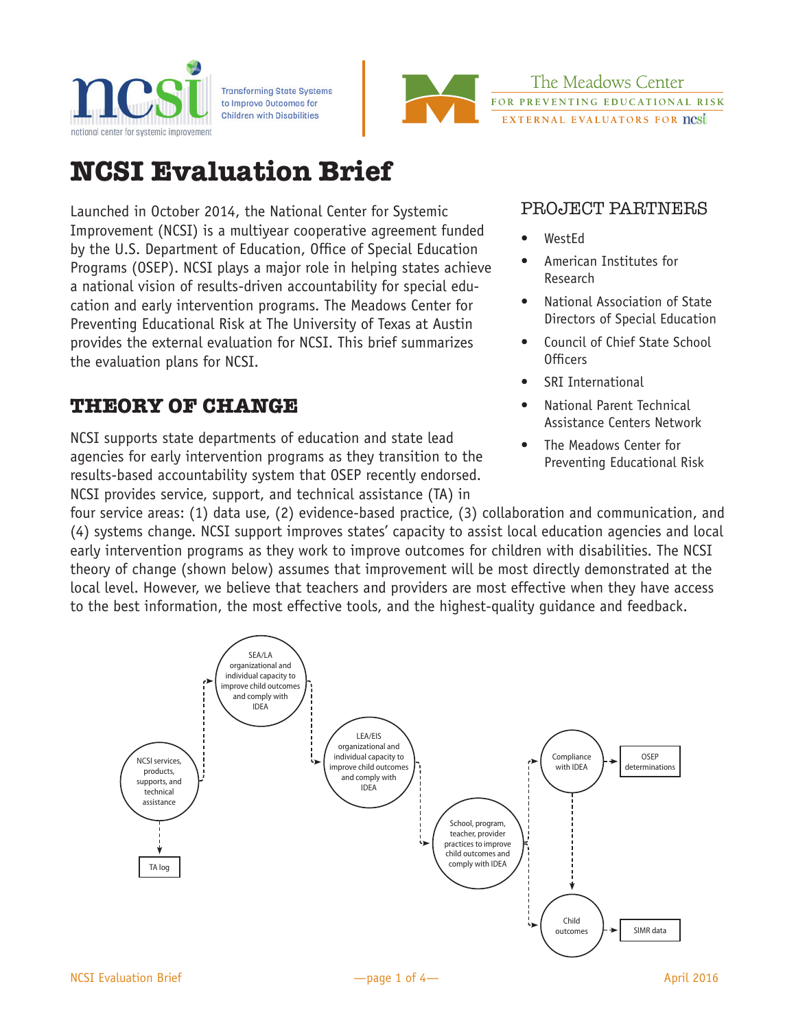

**Transforming State Systems** to Improve Outcomes for **Children with Disabilities** 



The Meadows Center FOR PREVENTING EDUCATIONAL RISK EXTERNAL EVALUATORS FOR nest

# **NCSI Evaluation Brief**

Launched in October 2014, the National Center for Systemic Improvement (NCSI) is a multiyear cooperative agreement funded by the U.S. Department of Education, Office of Special Education Programs (OSEP). NCSI plays a major role in helping states achieve a national vision of results-driven accountability for special education and early intervention programs. The Meadows Center for Preventing Educational Risk at The University of Texas at Austin provides the external evaluation for NCSI. This brief summarizes the evaluation plans for NCSI.

# **THEORY OF CHANGE**

NCSI supports state departments of education and state lead agencies for early intervention programs as they transition to the results-based accountability system that OSEP recently endorsed. NCSI provides service, support, and technical assistance (TA) in

## PROJECT PARTNERS

- WestEd
- American Institutes for Research
- National Association of State Directors of Special Education
- Council of Chief State School Officers
- SRI International
- National Parent Technical Assistance Centers Network
- The Meadows Center for Preventing Educational Risk

four service areas: (1) data use, (2) evidence-based practice, (3) collaboration and communication, and (4) systems change. NCSI support improves states' capacity to assist local education agencies and local early intervention programs as they work to improve outcomes for children with disabilities. The NCSI theory of change (shown below) assumes that improvement will be most directly demonstrated at the local level. However, we believe that teachers and providers are most effective when they have access to the best information, the most effective tools, and the highest-quality guidance and feedback.

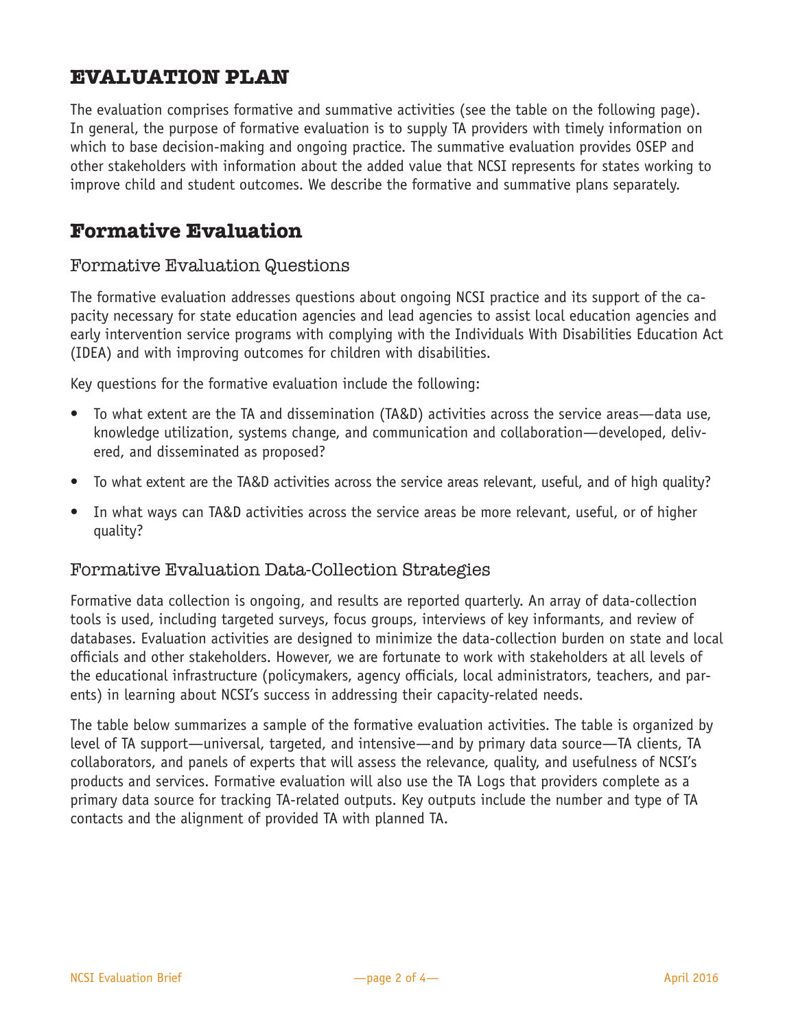## **EVALUATION PLAN**

The evaluation comprises formative and summative activities (see the table on the following page). In general, the purpose of formative evaluation is to supply TA providers with timely information on which to base decision-making and ongoing practice. The summative evaluation provides OSEP and other stakeholders with information about the added value that NCSI represents for states working to improve child and student outcomes. We describe the formative and summative plans separately.

## **Formative Evaluation**

#### Formative Evaluation Questions

The formative evaluation addresses questions about ongoing NCSI practice and its support of the capacity necessary for state education agencies and lead agencies to assist local education agencies and early intervention service programs with complying with the Individuals With Disabilities Education Act (IDEA) and with improving outcomes for children with disabilities.

Key questions for the formative evaluation include the following:

- To what extent are the TA and dissemination (TA&D) activities across the service areas—data use, knowledge utilization, systems change, and communication and collaboration—developed, delivered, and disseminated as proposed?
- To what extent are the TA&D activities across the service areas relevant, useful, and of high quality?
- In what ways can TA&D activities across the service areas be more relevant, useful, or of higher quality?

#### Formative Evaluation Data-Collection Strategies

Formative data collection is ongoing, and results are reported quarterly. An array of data-collection tools is used, including targeted surveys, focus groups, interviews of key informants, and review of databases. Evaluation activities are designed to minimize the data-collection burden on state and local officials and other stakeholders. However, we are fortunate to work with stakeholders at all levels of the educational infrastructure (policymakers, agency officials, local administrators, teachers, and parents) in learning about NCSI's success in addressing their capacity-related needs.

The table below summarizes a sample of the formative evaluation activities. The table is organized by level of TA support—universal, targeted, and intensive—and by primary data source—TA clients, TA collaborators, and panels of experts that will assess the relevance, quality, and usefulness of NCSI's products and services. Formative evaluation will also use the TA Logs that providers complete as a primary data source for tracking TA-related outputs. Key outputs include the number and type of TA contacts and the alignment of provided TA with planned TA.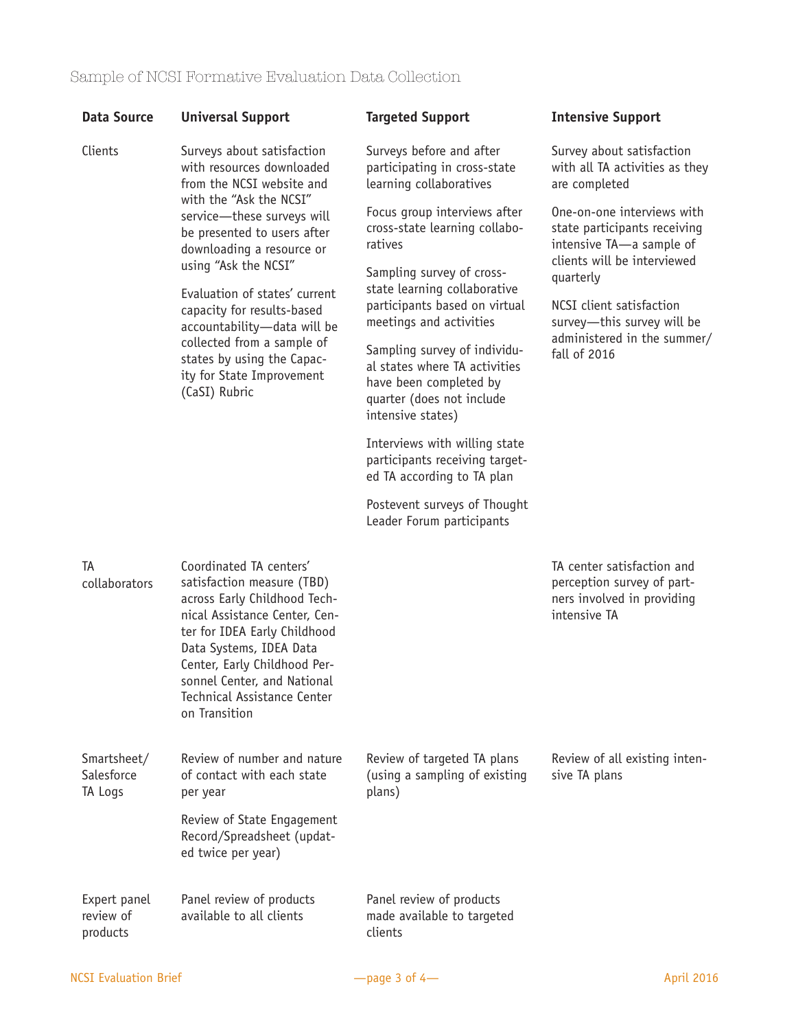| <b>Data Source</b>                    | <b>Universal Support</b>                                                                                                                                                                                                                                                                                                                                                                                                                  | <b>Targeted Support</b>                                                                                                                   | <b>Intensive Support</b>                                                                                                           |
|---------------------------------------|-------------------------------------------------------------------------------------------------------------------------------------------------------------------------------------------------------------------------------------------------------------------------------------------------------------------------------------------------------------------------------------------------------------------------------------------|-------------------------------------------------------------------------------------------------------------------------------------------|------------------------------------------------------------------------------------------------------------------------------------|
| Clients                               | Surveys about satisfaction<br>with resources downloaded<br>from the NCSI website and<br>with the "Ask the NCSI"<br>service-these surveys will<br>be presented to users after<br>downloading a resource or<br>using "Ask the NCSI"<br>Evaluation of states' current<br>capacity for results-based<br>accountability-data will be<br>collected from a sample of<br>states by using the Capac-<br>ity for State Improvement<br>(CaSI) Rubric | Surveys before and after<br>participating in cross-state<br>learning collaboratives                                                       | Survey about satisfaction<br>with all TA activities as they<br>are completed                                                       |
|                                       |                                                                                                                                                                                                                                                                                                                                                                                                                                           | Focus group interviews after<br>cross-state learning collabo-<br>ratives                                                                  | One-on-one interviews with<br>state participants receiving<br>intensive TA-a sample of<br>clients will be interviewed<br>quarterly |
|                                       |                                                                                                                                                                                                                                                                                                                                                                                                                                           | Sampling survey of cross-<br>state learning collaborative<br>participants based on virtual<br>meetings and activities                     |                                                                                                                                    |
|                                       |                                                                                                                                                                                                                                                                                                                                                                                                                                           |                                                                                                                                           | NCSI client satisfaction<br>survey-this survey will be<br>administered in the summer/<br>fall of 2016                              |
|                                       |                                                                                                                                                                                                                                                                                                                                                                                                                                           | Sampling survey of individu-<br>al states where TA activities<br>have been completed by<br>quarter (does not include<br>intensive states) |                                                                                                                                    |
|                                       |                                                                                                                                                                                                                                                                                                                                                                                                                                           | Interviews with willing state<br>participants receiving target-<br>ed TA according to TA plan                                             |                                                                                                                                    |
|                                       |                                                                                                                                                                                                                                                                                                                                                                                                                                           | Postevent surveys of Thought<br>Leader Forum participants                                                                                 |                                                                                                                                    |
| TA<br>collaborators                   | Coordinated TA centers'<br>satisfaction measure (TBD)<br>across Early Childhood Tech-<br>nical Assistance Center, Cen-<br>ter for IDEA Early Childhood<br>Data Systems, IDEA Data<br>Center, Early Childhood Per-<br>sonnel Center, and National<br>Technical Assistance Center<br>on Transition                                                                                                                                          |                                                                                                                                           | TA center satisfaction and<br>perception survey of part-<br>ners involved in providing<br>intensive TA                             |
| Smartsheet/<br>Salesforce<br>TA Logs  | Review of number and nature<br>of contact with each state<br>per year                                                                                                                                                                                                                                                                                                                                                                     | Review of targeted TA plans<br>(using a sampling of existing<br>plans)                                                                    | Review of all existing inten-<br>sive TA plans                                                                                     |
|                                       | Review of State Engagement<br>Record/Spreadsheet (updat-<br>ed twice per year)                                                                                                                                                                                                                                                                                                                                                            |                                                                                                                                           |                                                                                                                                    |
| Expert panel<br>review of<br>products | Panel review of products<br>available to all clients                                                                                                                                                                                                                                                                                                                                                                                      | Panel review of products<br>made available to targeted<br>clients                                                                         |                                                                                                                                    |